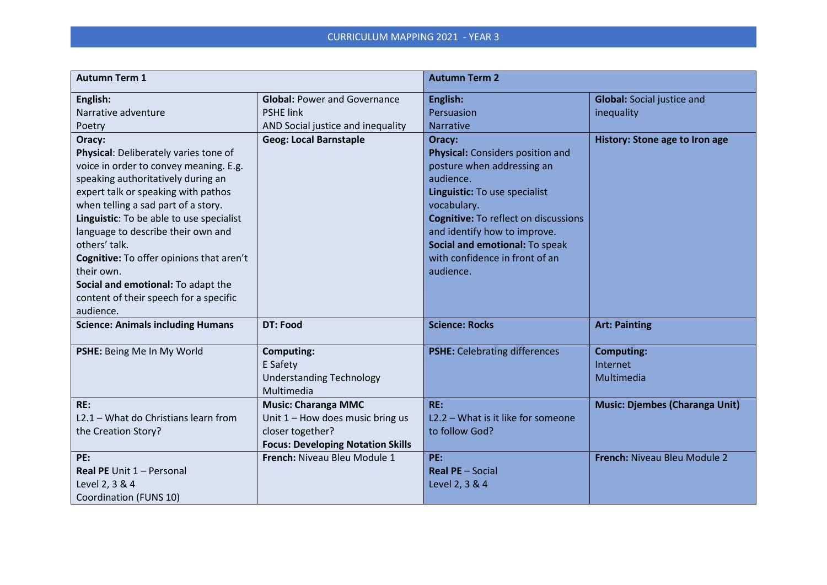| <b>Autumn Term 1</b>                                                                                                                                                                                                                                                                                                                                                                                                                                                    |                                                                                                                                  | <b>Autumn Term 2</b>                                                                                                                                                                                                                                                                                         |                                                 |
|-------------------------------------------------------------------------------------------------------------------------------------------------------------------------------------------------------------------------------------------------------------------------------------------------------------------------------------------------------------------------------------------------------------------------------------------------------------------------|----------------------------------------------------------------------------------------------------------------------------------|--------------------------------------------------------------------------------------------------------------------------------------------------------------------------------------------------------------------------------------------------------------------------------------------------------------|-------------------------------------------------|
| English:<br>Narrative adventure<br>Poetry                                                                                                                                                                                                                                                                                                                                                                                                                               | <b>Global: Power and Governance</b><br><b>PSHE link</b><br>AND Social justice and inequality                                     | English:<br>Persuasion<br>Narrative                                                                                                                                                                                                                                                                          | <b>Global:</b> Social justice and<br>inequality |
| Oracy:<br>Physical: Deliberately varies tone of<br>voice in order to convey meaning. E.g.<br>speaking authoritatively during an<br>expert talk or speaking with pathos<br>when telling a sad part of a story.<br>Linguistic: To be able to use specialist<br>language to describe their own and<br>others' talk.<br>Cognitive: To offer opinions that aren't<br>their own.<br>Social and emotional: To adapt the<br>content of their speech for a specific<br>audience. | <b>Geog: Local Barnstaple</b>                                                                                                    | Oracy:<br><b>Physical:</b> Considers position and<br>posture when addressing an<br>audience.<br>Linguistic: To use specialist<br>vocabulary.<br><b>Cognitive: To reflect on discussions</b><br>and identify how to improve.<br>Social and emotional: To speak<br>with confidence in front of an<br>audience. | History: Stone age to Iron age                  |
| <b>Science: Animals including Humans</b>                                                                                                                                                                                                                                                                                                                                                                                                                                | <b>DT: Food</b>                                                                                                                  | <b>Science: Rocks</b>                                                                                                                                                                                                                                                                                        | <b>Art: Painting</b>                            |
| PSHE: Being Me In My World                                                                                                                                                                                                                                                                                                                                                                                                                                              | <b>Computing:</b><br>E Safety<br><b>Understanding Technology</b><br>Multimedia                                                   | <b>PSHE:</b> Celebrating differences                                                                                                                                                                                                                                                                         | <b>Computing:</b><br>Internet<br>Multimedia     |
| RE:<br>L2.1 - What do Christians learn from<br>the Creation Story?                                                                                                                                                                                                                                                                                                                                                                                                      | <b>Music: Charanga MMC</b><br>Unit $1 -$ How does music bring us<br>closer together?<br><b>Focus: Developing Notation Skills</b> | RE:<br>L2.2 - What is it like for someone<br>to follow God?                                                                                                                                                                                                                                                  | <b>Music: Djembes (Charanga Unit)</b>           |
| PE:<br>Real PE Unit 1 - Personal<br>Level 2, 3 & 4<br>Coordination (FUNS 10)                                                                                                                                                                                                                                                                                                                                                                                            | French: Niveau Bleu Module 1                                                                                                     | PE:<br><b>Real PE</b> - Social<br>Level 2, 3 & 4                                                                                                                                                                                                                                                             | French: Niveau Bleu Module 2                    |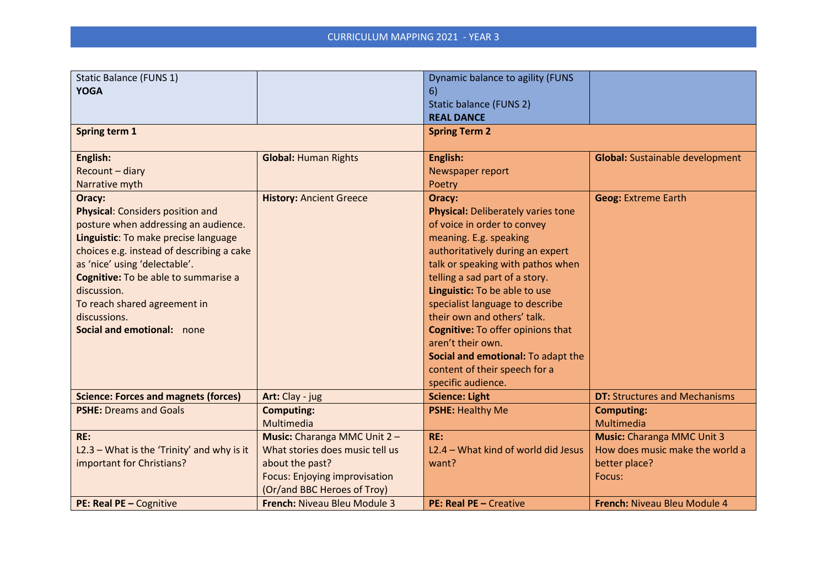| Static Balance (FUNS 1)                      |                                      | Dynamic balance to agility (FUNS          |                                        |
|----------------------------------------------|--------------------------------------|-------------------------------------------|----------------------------------------|
| <b>YOGA</b>                                  |                                      | 6)                                        |                                        |
|                                              |                                      | <b>Static balance (FUNS 2)</b>            |                                        |
|                                              |                                      | <b>REAL DANCE</b>                         |                                        |
| Spring term 1                                |                                      | <b>Spring Term 2</b>                      |                                        |
|                                              |                                      |                                           |                                        |
| English:                                     | <b>Global: Human Rights</b>          | English:                                  | <b>Global:</b> Sustainable development |
| Recount - diary                              |                                      | Newspaper report                          |                                        |
| Narrative myth                               |                                      | Poetry                                    |                                        |
| Oracy:                                       | <b>History: Ancient Greece</b>       | Oracy:                                    | <b>Geog: Extreme Earth</b>             |
| <b>Physical: Considers position and</b>      |                                      | <b>Physical: Deliberately varies tone</b> |                                        |
| posture when addressing an audience.         |                                      | of voice in order to convey               |                                        |
| Linguistic: To make precise language         |                                      | meaning. E.g. speaking                    |                                        |
| choices e.g. instead of describing a cake    |                                      | authoritatively during an expert          |                                        |
| as 'nice' using 'delectable'.                |                                      | talk or speaking with pathos when         |                                        |
| Cognitive: To be able to summarise a         |                                      | telling a sad part of a story.            |                                        |
| discussion.                                  |                                      | Linguistic: To be able to use             |                                        |
| To reach shared agreement in                 |                                      | specialist language to describe           |                                        |
| discussions.                                 |                                      | their own and others' talk.               |                                        |
| Social and emotional: none                   |                                      | <b>Cognitive: To offer opinions that</b>  |                                        |
|                                              |                                      | aren't their own.                         |                                        |
|                                              |                                      | Social and emotional: To adapt the        |                                        |
|                                              |                                      | content of their speech for a             |                                        |
|                                              |                                      | specific audience.                        |                                        |
| <b>Science: Forces and magnets (forces)</b>  | Art: Clay - jug                      | <b>Science: Light</b>                     | <b>DT: Structures and Mechanisms</b>   |
| <b>PSHE: Dreams and Goals</b>                | <b>Computing:</b>                    | <b>PSHE: Healthy Me</b>                   | <b>Computing:</b>                      |
|                                              | Multimedia                           |                                           | Multimedia                             |
| RE:                                          | Music: Charanga MMC Unit 2-          | RE:                                       | <b>Music:</b> Charanga MMC Unit 3      |
| $L2.3$ – What is the 'Trinity' and why is it | What stories does music tell us      | L2.4 - What kind of world did Jesus       | How does music make the world a        |
| important for Christians?                    | about the past?                      | want?                                     | better place?                          |
|                                              | <b>Focus: Enjoying improvisation</b> |                                           | Focus:                                 |
|                                              | (Or/and BBC Heroes of Troy)          |                                           |                                        |
| PE: Real PE - Cognitive                      | French: Niveau Bleu Module 3         | PE: Real PE - Creative                    | French: Niveau Bleu Module 4           |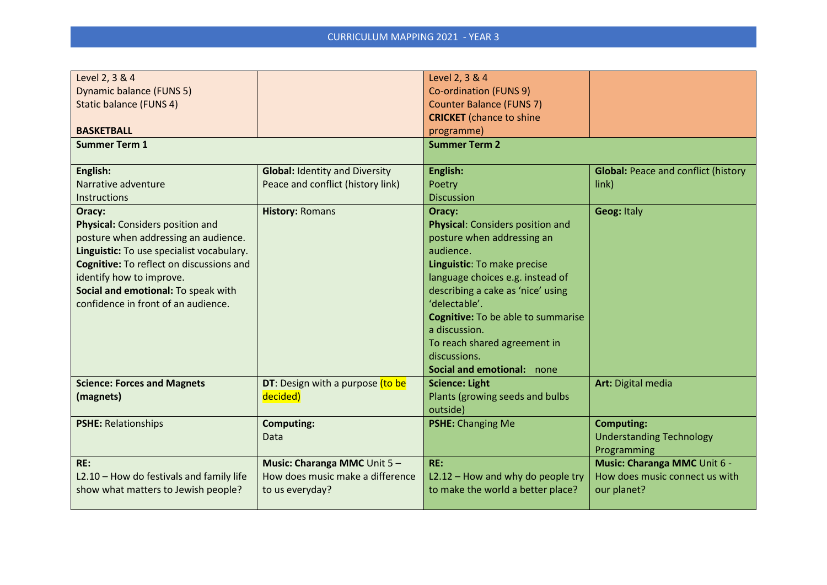| Level 2, 3 & 4                                  |                                         | Level 2, 3 & 4                            |                                            |
|-------------------------------------------------|-----------------------------------------|-------------------------------------------|--------------------------------------------|
| <b>Dynamic balance (FUNS 5)</b>                 |                                         | Co-ordination (FUNS 9)                    |                                            |
| <b>Static balance (FUNS 4)</b>                  |                                         | <b>Counter Balance (FUNS 7)</b>           |                                            |
|                                                 |                                         | <b>CRICKET</b> (chance to shine           |                                            |
| <b>BASKETBALL</b>                               |                                         | programme)                                |                                            |
| <b>Summer Term 1</b>                            |                                         | <b>Summer Term 2</b>                      |                                            |
|                                                 |                                         |                                           |                                            |
| English:                                        | <b>Global: Identity and Diversity</b>   | English:                                  | <b>Global: Peace and conflict (history</b> |
| Narrative adventure                             | Peace and conflict (history link)       | Poetry                                    | link)                                      |
| <b>Instructions</b>                             |                                         | <b>Discussion</b>                         |                                            |
| Oracy:                                          | <b>History: Romans</b>                  | Oracy:                                    | <b>Geog: Italy</b>                         |
| <b>Physical:</b> Considers position and         |                                         | Physical: Considers position and          |                                            |
| posture when addressing an audience.            |                                         | posture when addressing an                |                                            |
| Linguistic: To use specialist vocabulary.       |                                         | audience.                                 |                                            |
| <b>Cognitive: To reflect on discussions and</b> |                                         | Linguistic: To make precise               |                                            |
| identify how to improve.                        |                                         | language choices e.g. instead of          |                                            |
| Social and emotional: To speak with             |                                         | describing a cake as 'nice' using         |                                            |
| confidence in front of an audience.             |                                         | 'delectable'.                             |                                            |
|                                                 |                                         | <b>Cognitive:</b> To be able to summarise |                                            |
|                                                 |                                         | a discussion.                             |                                            |
|                                                 |                                         | To reach shared agreement in              |                                            |
|                                                 |                                         | discussions.                              |                                            |
|                                                 |                                         | Social and emotional: none                |                                            |
| <b>Science: Forces and Magnets</b>              | <b>DT:</b> Design with a purpose (to be | <b>Science: Light</b>                     | Art: Digital media                         |
| (magnets)                                       | decided)                                | Plants (growing seeds and bulbs           |                                            |
|                                                 |                                         | outside)                                  |                                            |
| <b>PSHE: Relationships</b>                      | <b>Computing:</b>                       | <b>PSHE: Changing Me</b>                  | <b>Computing:</b>                          |
|                                                 | Data                                    |                                           | <b>Understanding Technology</b>            |
|                                                 |                                         |                                           | Programming                                |
| RE:                                             | Music: Charanga MMC Unit 5-             | RE:                                       | Music: Charanga MMC Unit 6 -               |
| L2.10 - How do festivals and family life        | How does music make a difference        | L2.12 - How and why do people try         | How does music connect us with             |
| show what matters to Jewish people?             | to us everyday?                         | to make the world a better place?         | our planet?                                |
|                                                 |                                         |                                           |                                            |